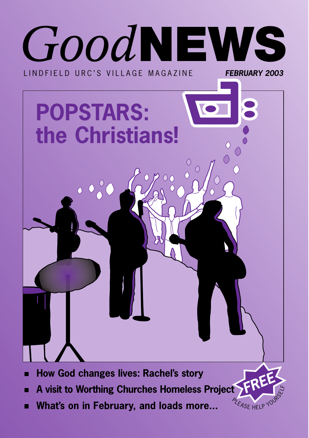

**A visit to Worthing Churches Homeless Project**

**YEASE HELP** 

**What's on in February, and loads more...**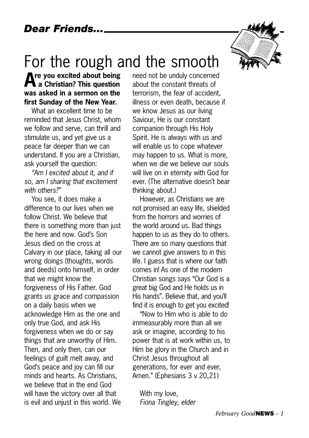## For the rough and the smooth

**Are you excited about being a Christian? This question was asked in a sermon on the first Sunday of the New Year.** 

What an excellent time to be reminded that Jesus Christ, whom we follow and serve, can thrill and stimulate us, and yet give us a peace far deeper than we can understand. If you are a Christian, ask yourself the question:

*"Am I excited about it, and if so, am I sharing that excitement with others?"*

You see, it does make a difference to our lives when we follow Christ. We believe that there is something more than just the here and now. God's Son Jesus died on the cross at Calvary in our place, taking all our wrong doings (thoughts, words and deeds) onto himself, in order that we might know the forgiveness of His Father. God grants us grace and compassion on a daily basis when we acknowledge Him as the one and only true God, and ask His forgiveness when we do or say things that are unworthy of Him. Then, and only then, can our feelings of guilt melt away, and God's peace and joy can fill our minds and hearts. As Christians, we believe that in the end God will have the victory over all that is evil and unjust in this world. We

need not be unduly concerned about the constant threats of terrorism, the fear of accident, illness or even death, because if we know Jesus as our living Saviour, He is our constant companion through His Holy Spirit. He is always with us and will enable us to cope whatever may happen to us. What is more, when we die we believe our souls will live on in eternity with God for ever. (The alternative doesn't bear thinking about.)

However, as Christians we are not promised an easy life, shielded from the horrors and worries of the world around us. Bad things happen to us as they do to others. There are so many questions that we cannot give answers to in this life. I guess that is where our faith comes in! As one of the modern Christian songs says "Our God is a great big God and He holds us in His hands". Believe that, and you'll find it is enough to get you excited!

"Now to Him who is able to do immeasurably more than all we ask or imagine, according to his power that is at work within us, to Him be glory in the Church and in Christ Jesus throughout all generations, for ever and ever, Amen." (Ephesians 3 v 20,21)

With my love, *Fiona Tingley, elder*

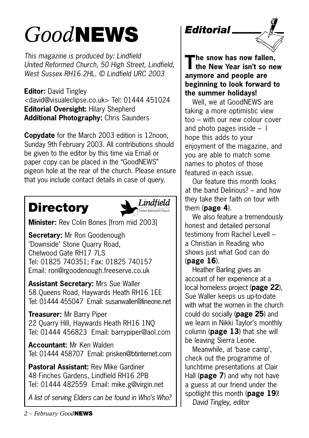## *Good***NEWS**

*This magazine is produced by: Lindfield United Reformed Church, 50 High Street, Lindfield, West Sussex RH16 2HL. © Lindfield URC 2003*

**Editor:** David Tingley <david@visualeclipse.co.uk> Tel: 01444 451024 **Editorial Oversight:** Hilary Shepherd **Additional Photography:** Chris Saunders

**Copydate** for the March 2003 edition is 12noon, Sunday 9th February 2003. All contributions should be given to the editor by this time via Email or paper copy can be placed in the "GoodNEWS" pigeon hole at the rear of the church. Please ensure that you include contact details in case of query.

## **Directory**



**Minister:** Rev Colin Bones [from mid 2003]

**Secretary:** Mr Ron Goodenough "Downside" Stone Quarry Road, Chelwood Gate RH17 7LS Tel: 01825 740351; Fax: 01825 740157 Email: ron@rgoodenough.freeserve.co.uk

**Assistant Secretary:** Mrs Sue Waller 58 Queens Road, Haywards Heath RH16 1EE Tel: 01444 455047 Email: susanwaller@lineone.net

**Treasurer:** Mr Barry Piper 22 Quarry Hill, Haywards Heath RH16 1NQ Tel: 01444 456823 Email: barrypiper@aol.com

**Accountant:** Mr Ken Walden Tel: 01444 458707 Email: prisken@btinternet.com

**Pastoral Assistant:** Rev Mike Gardiner 48 Finches Gardens, Lindfield RH16 2PB Tel: 01444 482559 Email: mike.g@virgin.net

*A list of serving Elders can be found in Who's Who?*



### *Editorial*



**The snow has now fallen, the New Year isn't so new anymore and people are beginning to look forward to the summer holidays!** 

Well, we at GoodNEWS are taking a more optimistic view too – with our new colour cover and photo pages inside – I hope this adds to your enjoyment of the magazine, and you are able to match some names to photos of those featured in each issue.

Our feature this month looks at the band Delirious? – and how they take their faith on tour with them (**page 4**).

We also feature a tremendously honest and detailed personal testimony from Rachel Levell – a Christian in Reading who shows just what God can do (**page 16**).

Heather Barling gives an account of her experience at a local homeless project (**page 22**), Sue Waller keeps us up-to-date with what the women in the church could do socially (**page 25**) and we learn in Nikki Taylor's monthly column (**page 13**) that she will be leaving Sierra Leone.

Meanwhile, at 'base camp', check out the programme of lunchtime presentations at Clair Hall (**page 7**) and why not have a guess at our friend under the spotlight this month (**page 19**)! *David Tingley, editor*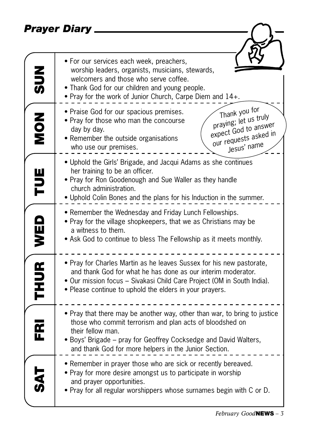*Prayer Diary*

| Prayer Diary             |                                                                                                                                                                                                                                                                                         |
|--------------------------|-----------------------------------------------------------------------------------------------------------------------------------------------------------------------------------------------------------------------------------------------------------------------------------------|
| $rac{2}{5}$              | • For our services each week, preachers,<br>worship leaders, organists, musicians, stewards,<br>welcomers and those who serve coffee.<br>• Thank God for our children and young people.<br>. Pray for the work of Junior Church, Carpe Diem and 14+.                                    |
| NON<br>NON               | Thank you for<br>• Praise God for our spacious premises.<br>praying; let us truly<br>• Pray for those who man the concourse<br>expect God to answer<br>day by day.<br>our requests asked in<br>• Remember the outside organisations<br>Jesus' name<br>who use our premises.             |
| TUE                      | . Uphold the Girls' Brigade, and Jacqui Adams as she continues<br>her training to be an officer.<br>• Pray for Ron Goodenough and Sue Waller as they handle<br>church administration.<br>. Uphold Colin Bones and the plans for his Induction in the summer.                            |
| WED                      | • Remember the Wednesday and Friday Lunch Fellowships.<br>• Pray for the village shopkeepers, that we as Christians may be<br>a witness to them.<br>• Ask God to continue to bless The Fellowship as it meets monthly.                                                                  |
| <b>THUR</b>              | • Pray for Charles Martin as he leaves Sussex for his new pastorate,<br>and thank God for what he has done as our interim moderator.<br>• Our mission focus – Sivakasi Child Care Project (OM in South India).<br>• Please continue to uphold the elders in your prayers.               |
| $\overline{\epsilon}$ Ri | • Pray that there may be another way, other than war, to bring to justice<br>those who commit terrorism and plan acts of bloodshed on<br>their fellow man.<br>• Boys' Brigade – pray for Geoffrey Cocksedge and David Walters,<br>and thank God for more helpers in the Junior Section. |
| $\overline{\mathbf{a}}$  | • Remember in prayer those who are sick or recently bereaved.<br>• Pray for more desire amongst us to participate in worship<br>and prayer opportunities.<br>• Pray for all regular worshippers whose surnames begin with C or D.                                                       |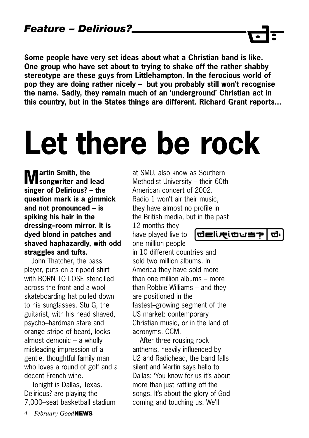**Some people have very set ideas about what a Christian band is like. One group who have set about to trying to shake off the rather shabby stereotype are these guys from Littlehampton. In the ferocious world of pop they are doing rather nicely – but you probably still won't recognise the name. Sadly, they remain much of an 'underground' Christian act in this country, but in the States things are different. Richard Grant reports...**

# **Let there be rock**

**Martin Smith, the songwriter and lead singer of Delirious? – the question mark is a gimmick and not pronounced – is spiking his hair in the dressing–room mirror. It is dyed blond in patches and shaved haphazardly, with odd straggles and tufts.** 

John Thatcher, the bass player, puts on a ripped shirt with BORN TO LOSE stencilled across the front and a wool skateboarding hat pulled down to his sunglasses. Stu G, the guitarist, with his head shaved, psycho–hardman stare and orange stripe of beard, looks almost demonic – a wholly misleading impression of a gentle, thoughtful family man who loves a round of golf and a decent French wine.

Tonight is Dallas, Texas. Delirious? are playing the 7,000–seat basketball stadium

at SMU, also know as Southern Methodist University – their 60th American concert of 2002. Radio 1 won't air their music, they have almost no profile in the British media, but in the past 12 months they

have played live to one million people

**delizioust** ថា

in 10 different countries and sold two million albums. In America they have sold more than one million albums – more than Robbie Williams – and they are positioned in the fastest–growing segment of the US market: contemporary Christian music, or in the land of acronyms, CCM.

After three rousing rock anthems, heavily influenced by U2 and Radiohead, the band falls silent and Martin says hello to Dallas: 'You know for us it's about more than just rattling off the songs. It's about the glory of God coming and touching us. We'll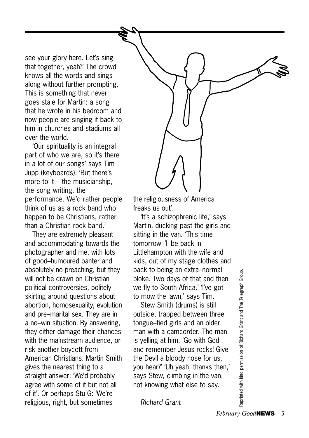see your glory here. Let's sing that together, yeah?' The crowd knows all the words and sings along without further prompting. This is something that never goes stale for Martin: a song that he wrote in his bedroom and now people are singing it back to him in churches and stadiums all over the world.

'Our spirituality is an integral part of who we are, so it's there in a lot of our songs' says Tim Jupp (keyboards). 'But there's more to it – the musicianship, the song writing, the performance. We'd rather people think of us as a rock band who happen to be Christians, rather than a Christian rock band.'

They are extremely pleasant and accommodating towards the photographer and me, with lots of good–humoured banter and absolutely no preaching, but they will not be drawn on Christian political controversies, politely skirting around questions about abortion, homosexuality, evolution and pre–marital sex. They are in a no–win situation. By answering, they either damage their chances with the mainstream audience, or risk another boycott from American Christians. Martin Smith gives the nearest thing to a straight answer: 'We'd probably agree with some of it but not all of it'. Or perhaps Stu G: 'We're religious, right, but sometimes

the religiousness of America freaks us out'.

'It's a schizophrenic life,' says Martin, ducking past the girls and sitting in the van. 'This time tomorrow I'll be back in Littlehampton with the wife and kids, out of my stage clothes and back to being an extra–normal bloke. Two days of that and then we fly to South Africa.' 'I've got to mow the lawn,' says Tim.

Stew Smith (drums) is still outside, trapped between three tongue–tied girls and an older man with a camcorder. The man is yelling at him, 'Go with God and remember Jesus rocks! Give the Devil a bloody nose for us, you hear?' 'Uh yeah, thanks then,' says Stew, climbing in the van, not knowing what else to say.

*Richard Grant*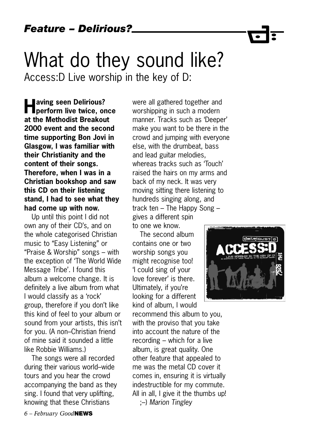**Having seen Delirious? perform live twice, once at the Methodist Breakout 2000 event and the second time supporting Bon Jovi in Glasgow, I was familiar with their Christianity and the content of their songs. Therefore, when I was in a Christian bookshop and saw this CD on their listening stand, I had to see what they had come up with now.** 

Up until this point I did not own any of their CD's, and on the whole categorised Christian music to "Easy Listening" or "Praise & Worship" songs – with the exception of 'The World Wide Message Tribe'. I found this album a welcome change. It is definitely a live album from what I would classify as a 'rock' group, therefore if you don't like this kind of feel to your album or sound from your artists, this isn't for you. (A non–Christian friend of mine said it sounded a little like Robbie Williams.)

The songs were all recorded during their various world–wide tours and you hear the crowd accompanying the band as they sing. I found that very uplifting, knowing that these Christians

were all gathered together and worshipping in such a modern manner. Tracks such as 'Deeper' make you want to be there in the crowd and jumping with everyone else, with the drumbeat, bass and lead guitar melodies, whereas tracks such as 'Touch' raised the hairs on my arms and back of my neck. It was very moving sitting there listening to hundreds singing along, and track ten – The Happy Song – gives a different spin to one we know.

The second album contains one or two worship songs you might recognise too! 'I could sing of your love forever' is there. Ultimately, if you're looking for a different kind of album, I would

recommend this album to you, with the proviso that you take into account the nature of the recording – which for a live album, is great quality. One other feature that appealed to me was the metal CD cover it comes in, ensuring it is virtually indestructible for my commute. All in all, I give it the thumbs up! ;–) *Marion Tingley*

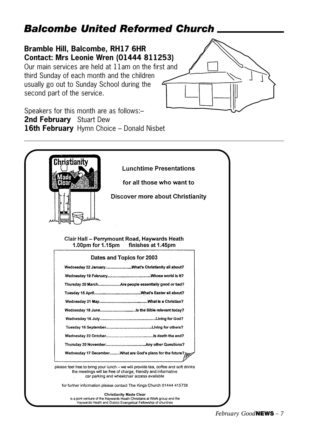### *Balcombe United Reformed Church*

#### **Bramble Hill, Balcombe, RH17 6HR Contact: Mrs Leonie Wren (01444 811253)**

Our main services are held at 11am on the first and third Sunday of each month and the children usually go out to Sunday School during the second part of the service.



Speakers for this month are as follows:– **2nd February** Stuart Dew **16th February** Hymn Choice – Donald Nisbet

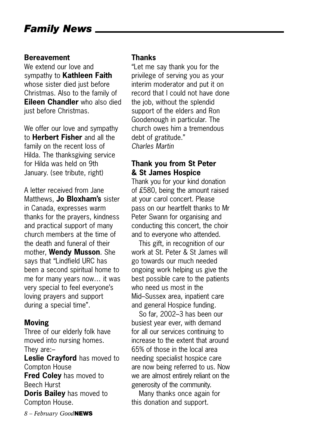#### **Bereavement**

We extend our love and sympathy to **Kathleen Faith** whose sister died just before Christmas. Also to the family of **Eileen Chandler** who also died just before Christmas.

We offer our love and sympathy to **Herbert Fisher** and all the family on the recent loss of Hilda. The thanksgiving service for Hilda was held on 9th January. (see tribute, right)

A letter received from Jane Matthews, **Jo Bloxham's** sister in Canada, expresses warm thanks for the prayers, kindness and practical support of many church members at the time of the death and funeral of their mother, **Wendy Musson**. She says that "Lindfield URC has been a second spiritual home to me for many years now… it was very special to feel everyone's loving prayers and support during a special time".

### **Moving**

Three of our elderly folk have moved into nursing homes. They are:–

**Leslie Crayford** has moved to Compton House **Fred Coley** has moved to Beech Hurst **Doris Bailey** has moved to Compton House.

### **Thanks**

"Let me say thank you for the privilege of serving you as your interim moderator and put it on record that I could not have done the job, without the splendid support of the elders and Ron Goodenough in particular. The church owes him a tremendous debt of gratitude." *Charles Martin*

#### **Thank you from St Peter & St James Hospice**

Thank you for your kind donation of £580, being the amount raised at your carol concert. Please pass on our heartfelt thanks to Mr Peter Swann for organising and conducting this concert, the choir and to everyone who attended.

This gift, in recognition of our work at St. Peter & St James will go towards our much needed ongoing work helping us give the best possible care to the patients who need us most in the Mid–Sussex area, inpatient care and general Hospice funding.

So far, 2002–3 has been our busiest year ever, with demand for all our services continuing to increase to the extent that around 65% of those in the local area needing specialist hospice care are now being referred to us. Now we are almost entirely reliant on the generosity of the community.

Many thanks once again for this donation and support.

*8 – February Good***NEWS**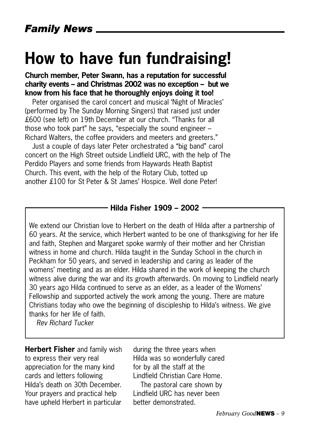## **How to have fun fundraising!**

#### **Church member, Peter Swann, has a reputation for successful charity events – and Christmas 2002 was no exception – but we know from his face that he thoroughly enjoys doing it too!**

Peter organised the carol concert and musical 'Night of Miracles' (performed by The Sunday Morning Singers) that raised just under £600 (see left) on 19th December at our church. "Thanks for all those who took part" he says, "especially the sound engineer – Richard Walters, the coffee providers and meeters and greeters."

Just a couple of days later Peter orchestrated a "big band" carol concert on the High Street outside Lindfield URC, with the help of The Perdido Players and some friends from Haywards Heath Baptist Church. This event, with the help of the Rotary Club, totted up another £100 for St Peter & St James' Hospice. Well done Peter!

#### **Hilda Fisher 1909 – 2002**

We extend our Christian love to Herbert on the death of Hilda after a partnership of 60 years. At the service, which Herbert wanted to be one of thanksgiving for her life and faith, Stephen and Margaret spoke warmly of their mother and her Christian witness in home and church. Hilda taught in the Sunday School in the church in Peckham for 50 years, and served in leadership and caring as leader of the womens' meeting and as an elder. Hilda shared in the work of keeping the church witness alive during the war and its growth afterwards. On moving to Lindfield nearly 30 years ago Hilda continued to serve as an elder, as a leader of the Womens' Fellowship and supported actively the work among the young. There are mature Christians today who owe the beginning of discipleship to Hilda's witness. We give thanks for her life of faith.

*Rev Richard Tucker*

**Herbert Fisher** and family wish to express their very real appreciation for the many kind cards and letters following Hilda's death on 30th December. Your prayers and practical help have upheld Herbert in particular during the three years when Hilda was so wonderfully cared for by all the staff at the Lindfield Christian Care Home.

The pastoral care shown by Lindfield URC has never been better demonstrated.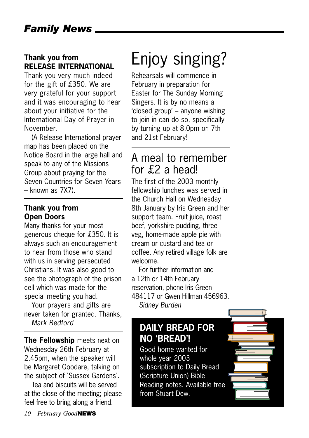### **Thank you from RELEASE INTERNATIONAL**

Thank you very much indeed for the gift of £350. We are very grateful for your support and it was encouraging to hear about your initiative for the International Day of Prayer in November.

(A Release International prayer map has been placed on the Notice Board in the large hall and speak to any of the Missions Group about praying for the Seven Countries for Seven Years – known as 7X7).

#### **Thank you from Open Doors**

Many thanks for your most generous cheque for £350. It is always such an encouragement to hear from those who stand with us in serving persecuted Christians. It was also good to see the photograph of the prison cell which was made for the special meeting you had.

Your prayers and gifts are never taken for granted. Thanks, *Mark Bedford*

**The Fellowship** meets next on Wednesday 26th February at 2.45pm, when the speaker will be Margaret Goodare, talking on the subject of 'Sussex Gardens'.

Tea and biscuits will be served at the close of the meeting; please feel free to bring along a friend.

## Enjoy singing?

Rehearsals will commence in February in preparation for Easter for The Sunday Morning Singers. It is by no means a 'closed group' – anyone wishing to join in can do so, specifically by turning up at 8.0pm on 7th and 21st February!

### A meal to remember for £2 a head!

The first of the 2003 monthly fellowship lunches was served in the Church Hall on Wednesday 8th January by Iris Green and her support team. Fruit juice, roast beef, yorkshire pudding, three veg, home-made apple pie with cream or custard and tea or coffee. Any retired village folk are welcome.

For further information and a 12th or 14th February reservation, phone Iris Green 484117 or Gwen Hillman 456963. *Sidney Burden*

### **DAILY BREAD FOR NO 'BREAD'!**

Good home wanted for whole year 2003 subscription to Daily Bread (Scripture Union) Bible Reading notes. Available free from Stuart Dew.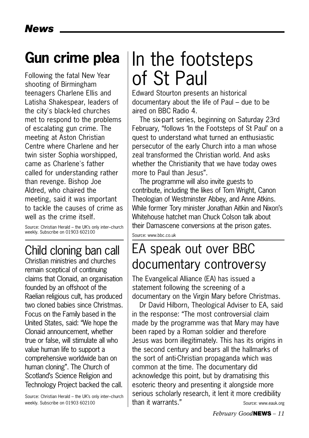## **Gun crime plea**

Following the fatal New Year shooting of Birmingham teenagers Charlene Ellis and Latisha Shakespear, leaders of the city's black-led churches met to respond to the problems of escalating gun crime. The meeting at Aston Christian Centre where Charlene and her twin sister Sophia worshipped, came as Charlene's father called for understanding rather than revenge. Bishop Joe Aldred, who chaired the meeting, said it was important to tackle the causes of crime as well as the crime itself.

Source: Christian Herald – the UK's only inter–church weekly. Subscribe on 01903 602100

## Child cloning ban call

Christian ministries and churches remain sceptical of continuing claims that Clonaid, an organisation founded by an offshoot of the Raelian religious cult, has produced two cloned babies since Christmas. Focus on the Family based in the United States, said: "We hope the Clonaid announcement, whether true or false, will stimulate all who value human life to support a comprehensive worldwide ban on human cloning". The Church of Scotland's Science Religion and Technology Project backed the call.

Source: Christian Herald – the UK's only inter–church weekly. Subscribe on 01903 602100

## In the footsteps of St Paul

Edward Stourton presents an historical documentary about the life of Paul – due to be aired on BBC Radio 4.

The six-part series, beginning on Saturday 23rd February, "follows 'In the Footsteps of St Paul' on a quest to understand what turned an enthusiastic persecutor of the early Church into a man whose zeal transformed the Christian world. And asks whether the Christianity that we have today owes more to Paul than Jesus".

The programme will also invite guests to contribute, including the likes of Tom Wright, Canon Theologian of Westminster Abbey, and Anne Atkins. While former Tory minister Jonathan Aitkin and Nixon's Whitehouse hatchet man Chuck Colson talk about their Damascene conversions at the prison gates.

Source: www.bbc.co.uk

## EA speak out over BBC documentary controversy

The Evangelical Alliance (EA) has issued a statement following the screening of a documentary on the Virgin Mary before Christmas.

Dr David Hilborn, Theological Adviser to EA, said in the response: "The most controversial claim made by the programme was that Mary may have been raped by a Roman soldier and therefore Jesus was born illegitimately. This has its origins in the second century and bears all the hallmarks of the sort of anti-Christian propaganda which was common at the time. The documentary did acknowledge this point, but by dramatising this esoteric theory and presenting it alongside more serious scholarly research, it lent it more credibility than it warrants." Source: www.eauk.org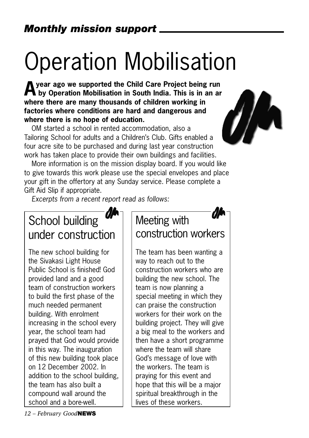# Operation Mobilisation

**Ayear ago we supported the Child Care Project being run**  $\blacksquare$  by Operation Mobilisation in South India. This is in an ar **where there are many thousands of children working in factories where conditions are hard and dangerous and where there is no hope of education.**

OM started a school in rented accommodation, also a Tailoring School for adults and a Children's Club. Gifts enabled a four acre site to be purchased and during last year construction work has taken place to provide their own buildings and facilities.

More information is on the mission display board. If you would like to give towards this work please use the special envelopes and place your gift in the offertory at any Sunday service. Please complete a Gift Aid Slip if appropriate.

*Excerpts from a recent report read as follows:* 

## School building under construction

The new school building for the Sivakasi Light House Public School is finished! God provided land and a good team of construction workers to build the first phase of the much needed permanent building. With enrolment increasing in the school every year, the school team had prayed that God would provide in this way. The inauguration of this new building took place on 12 December 2002. In addition to the school building, the team has also built a compound wall around the school and a bore-well.

## Meeting with construction workers

The team has been wanting a way to reach out to the construction workers who are building the new school. The team is now planning a special meeting in which they can praise the construction workers for their work on the building project. They will give a big meal to the workers and then have a short programme where the team will share God's message of love with the workers. The team is praying for this event and hope that this will be a major spiritual breakthrough in the lives of these workers.

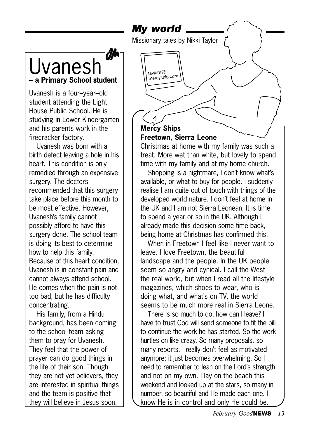### *My world*

taylorn@ mercyships .org

Missionary tales by Nikki Taylor



Uvanesh is a four–year–old student attending the Light House Public School. He is studying in Lower Kindergarten and his parents work in the firecracker factory.

Uvanesh was born with a birth defect leaving a hole in his heart. This condition is only remedied through an expensive surgery. The doctors recommended that this surgery take place before this month to be most effective. However, Uvanesh's family cannot possibly afford to have this surgery done. The school team is doing its best to determine how to help this family. Because of this heart condition, Uvanesh is in constant pain and cannot always attend school. He comes when the pain is not too bad, but he has difficulty concentrating.

His family, from a Hindu background, has been coming to the school team asking them to pray for Uvanesh. They feel that the power of prayer can do good things in the life of their son. Though they are not yet believers, they are interested in spiritual things and the team is positive that they will believe in Jesus soon.

### **Mercy Ships Freetown, Sierra Leone**

Christmas at home with my family was such a treat. More wet than white, but lovely to spend time with my family and at my home church.

Shopping is a nightmare, I don't know what's available, or what to buy for people. I suddenly realise I am quite out of touch with things of the developed world nature. I don't feel at home in the UK and I am not Sierra Leonean. It is time to spend a year or so in the UK. Although I already made this decision some time back, being home at Christmas has confirmed this.

When in Freetown I feel like I never want to leave. I love Freetown, the beautiful landscape and the people. In the UK people seem so angry and cynical. I call the West the real world, but when I read all the lifestyle magazines, which shoes to wear, who is doing what, and what's on TV, the world seems to be much more real in Sierra Leone.

There is so much to do, how can I leave? I have to trust God will send someone to fit the bill to continue the work he has started. So the work hurtles on like crazy. So many proposals, so many reports. I really don't feel as motivated anymore; it just becomes overwhelming. So I need to remember to lean on the Lord's strength and not on my own. I lay on the beach this weekend and looked up at the stars, so many in number, so beautiful and He made each one. I know He is in control and only He could be.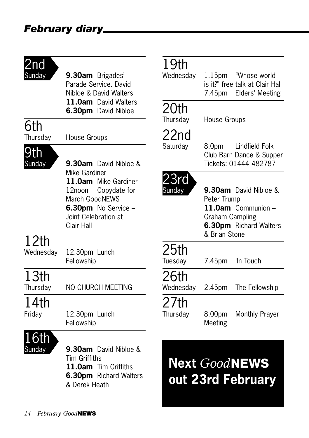### *February diary*

## 2nd<br><sub>Sundav</sub>

**9.30am** Brigades' Parade Service. David Nibloe & David Walters **11.0am** David Walters **6.30pm** David Nibloe

## **6th**<br>Thursday

House Groups



Sunday **9.30am** David Nibloe & Mike Gardiner **11.0am** Mike Gardiner 12noon Copydate for

March GoodNEWS **6.30pm** No Service –

Joint Celebration at Clair Hall

## 12th

Wednesday 12.30pm Lunch Fellowship

13th<br>Thursday

NO CHURCH MEETING

## 14th

Friday 12.30pm Lunch Fellowship



Sunday **9.30am** David Nibloe & Tim Griffiths **11.0am** Tim Griffiths **6.30pm** Richard Walters & Derek Heath

## 19th<br>Wednesdav

1.15pm "Whose world" is it?" free talk at Clair Hall 7.45pm Elders' Meeting

## 20th

Thursday House Groups

## 22nd<br><sub>Saturday</sub>

8.0pm Lindfield Folk Club Barn Dance & Supper Tickets: 01444 482787



Sunday **9.30am** David Nibloe & Peter Trump **11.0am** Communion – Graham Campling **6.30pm** Richard Walters & Brian Stone

### 25th

Tuesday 7.45pm 'In Touch'

## 26th

Wednesday 2.45pm The Fellowship

27th

Thursday 8.00pm Monthly Prayer Meeting

## **Next** *Good***NEWS out 23rd February**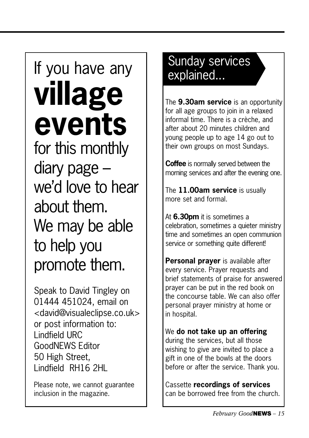# If you have any  $\parallel$  surflags served by  $\parallel$ **village events**

for this monthly diary page – we'd love to hear about them. We may be able to help you promote them.

Speak to David Tingley on 01444 451024, email on <david@visualeclipse.co.uk> or post information to: Lindfield URC GoodNEWS Editor 50 High Street, Lindfield RH16 2HL

Please note, we cannot guarantee inclusion in the magazine.

# Sunday services

The **9.30am service** is an opportunity for all age groups to join in a relaxed informal time. There is a crèche, and after about 20 minutes children and young people up to age 14 go out to their own groups on most Sundays.

**Coffee** is normally served between the morning services and after the evening one.

The **11.00am service** is usually more set and formal.

At **6.30pm** it is sometimes a celebration, sometimes a quieter ministry time and sometimes an open communion service or something quite different!

**Personal prayer** is available after every service. Prayer requests and brief statements of praise for answered prayer can be put in the red book on the concourse table. We can also offer personal prayer ministry at home or in hospital.

We **do not take up an offering** during the services, but all those wishing to give are invited to place a gift in one of the bowls at the doors before or after the service. Thank you.

Cassette **recordings of services** can be borrowed free from the church.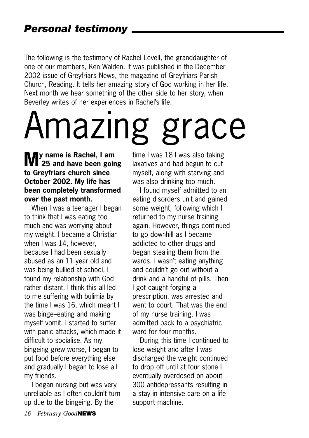The following is the testimony of Rachel Levell, the granddaughter of one of our members, Ken Walden. It was published in the December 2002 issue of Greyfriars News, the magazine of Greyfriars Parish Church, Reading. It tells her amazing story of God working in her life. Next month we hear something of the other side to her story, when Beverley writes of her experiences in Rachel's life.

# Amazing grace

### **My name is Rachel, I am 25 and have been going to Greyfriars church since October 2002. My life has been completely transformed over the past month.**

When I was a teenager I began to think that I was eating too much and was worrying about my weight. I became a Christian when I was 14, however, because I had been sexually abused as an 11 year old and was being bullied at school, I found my relationship with God rather distant. I think this all led to me suffering with bulimia by the time I was 16, which meant I was binge–eating and making myself vomit. I started to suffer with panic attacks, which made it difficult to socialise. As my bingeing grew worse, I began to put food before everything else and gradually I began to lose all my friends.

I began nursing but was very unreliable as I often couldn't turn up due to the bingeing. By the

time I was 18 I was also taking laxatives and had begun to cut myself, along with starving and was also drinking too much.

I found myself admitted to an eating disorders unit and gained some weight, following which I returned to my nurse training again. However, things continued to go downhill as I became addicted to other drugs and began stealing them from the wards. I wasn't eating anything and couldn't go out without a drink and a handful of pills. Then I got caught forging a prescription, was arrested and went to court. That was the end of my nurse training. I was admitted back to a psychiatric ward for four months.

During this time I continued to lose weight and after I was discharged the weight continued to drop off until at four stone I eventually overdosed on about 300 antidepressants resulting in a stay in intensive care on a life support machine.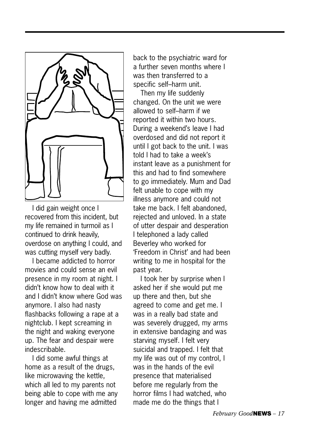

I did gain weight once I recovered from this incident, but my life remained in turmoil as I continued to drink heavily, overdose on anything I could, and was cutting myself very badly.

I became addicted to horror movies and could sense an evil presence in my room at night. I didn't know how to deal with it and I didn't know where God was anymore. I also had nasty flashbacks following a rape at a nightclub. I kept screaming in the night and waking everyone up. The fear and despair were indescribable.

I did some awful things at home as a result of the drugs, like microwaving the kettle, which all led to my parents not being able to cope with me any longer and having me admitted

back to the psychiatric ward for a further seven months where I was then transferred to a specific self–harm unit.

Then my life suddenly changed. On the unit we were allowed to self–harm if we reported it within two hours. During a weekend's leave I had overdosed and did not report it until I got back to the unit. I was told I had to take a week's instant leave as a punishment for this and had to find somewhere to go immediately. Mum and Dad felt unable to cope with my illness anymore and could not take me back. I felt abandoned, rejected and unloved. In a state of utter despair and desperation I telephoned a lady called Beverley who worked for 'Freedom in Christ' and had been writing to me in hospital for the past year.

I took her by surprise when I asked her if she would put me up there and then, but she agreed to come and get me. I was in a really bad state and was severely drugged, my arms in extensive bandaging and was starving myself. I felt very suicidal and trapped. I felt that my life was out of my control, I was in the hands of the evil presence that materialised before me regularly from the horror films I had watched, who made me do the things that I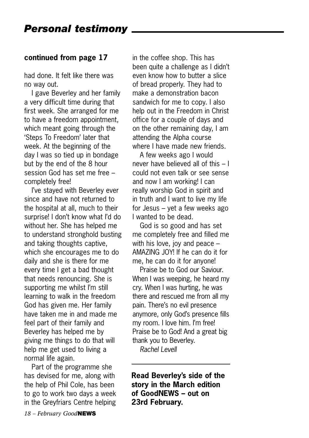#### **continued from page 17**

had done. It felt like there was no way out.

I gave Beverley and her family a very difficult time during that first week. She arranged for me to have a freedom appointment, which meant going through the 'Steps To Freedom' later that week. At the beginning of the day I was so tied up in bondage but by the end of the 8 hour session God has set me free – completely free!

I've stayed with Beverley ever since and have not returned to the hospital at all, much to their surprise! I don't know what I'd do without her. She has helped me to understand stronghold busting and taking thoughts captive, which she encourages me to do daily and she is there for me every time I get a bad thought that needs renouncing. She is supporting me whilst I'm still learning to walk in the freedom God has given me. Her family have taken me in and made me feel part of their family and Beverley has helped me by giving me things to do that will help me get used to living a normal life again.

Part of the programme she has devised for me, along with the help of Phil Cole, has been to go to work two days a week in the Greyfriars Centre helping in the coffee shop. This has been quite a challenge as I didn't even know how to butter a slice of bread properly. They had to make a demonstration bacon sandwich for me to copy. I also help out in the Freedom in Christ office for a couple of days and on the other remaining day, I am attending the Alpha course where I have made new friends.

A few weeks ago I would never have believed all of this – I could not even talk or see sense and now I am working! I can really worship God in spirit and in truth and I want to live my life for Jesus – yet a few weeks ago I wanted to be dead.

God is so good and has set me completely free and filled me with his love, joy and peace – AMAZING JOY! If he can do it for me, he can do it for anyone!

Praise be to God our Saviour. When I was weeping, he heard my cry. When I was hurting, he was there and rescued me from all my pain. There's no evil presence anymore, only God's presence fills my room. I love him. I'm free! Praise be to God! And a great big thank you to Beverley.

*Rachel Levell*

**Read Beverley's side of the story in the March edition of GoodNEWS – out on 23rd February.**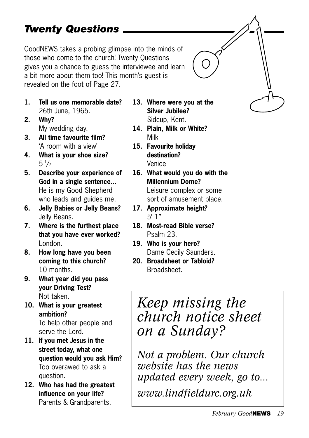### *Twenty Questions*

GoodNEWS takes a probing glimpse into the minds of those who come to the church! Twenty Questions gives you a chance to guess the interviewee and learn a bit more about them too! This month's guest is revealed on the foot of Page 27.

- **1. Tell us one memorable date?** 26th June, 1965.
- **2. Why?** My wedding day.
- **3. All time favourite film?** 'A room with a view'
- **4. What is your shoe size?**  $5\frac{1}{2}$
- **5. Describe your experience of God in a single sentence...** He is my Good Shepherd who leads and guides me.
- **6. Jelly Babies or Jelly Beans?** Jelly Beans.
- **7. Where is the furthest place that you have ever worked?** London.
- **8. How long have you been coming to this church?** 10 months.
- **9. What year did you pass your Driving Test?** Not taken.
- **10. What is your greatest ambition?** To help other people and serve the Lord.
- **11. If you met Jesus in the street today, what one question would you ask Him?** Too overawed to ask a question.
- **12. Who has had the greatest influence on your life?** Parents & Grandparents.
- **13. Where were you at the Silver Jubilee?** Sidcup, Kent.
- **14. Plain, Milk or White?** Milk
- **15. Favourite holiday destination?** Venice
- **16. What would you do with the Millennium Dome?** Leisure complex or some sort of amusement place.
- **17. Approximate height?**  $5'$  1"
- **18. Most-read Bible verse?** Psalm 23.
- **19. Who is your hero?** Dame Cecily Saunders.
- **20. Broadsheet or Tabloid?** Broadsheet.

## *Keep missing the church notice sheet on a Sunday?*

*Not a problem. Our church website has the news updated every week, go to...*

*www.lindfieldurc.org.uk*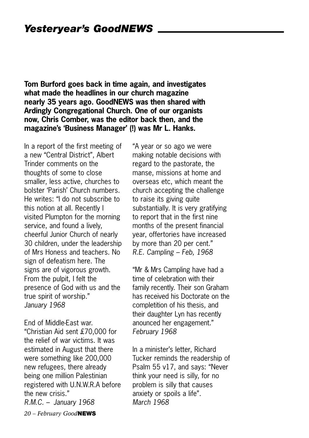**Tom Burford goes back in time again, and investigates what made the headlines in our church magazine nearly 35 years ago. GoodNEWS was then shared with Ardingly Congregational Church. One of our organists now, Chris Comber, was the editor back then, and the magazine's 'Business Manager' (!) was Mr L. Hanks.**

In a report of the first meeting of a new "Central District", Albert Trinder comments on the thoughts of some to close smaller, less active, churches to bolster 'Parish' Church numbers. He writes: "I do not subscribe to this notion at all. Recently I visited Plumpton for the morning service, and found a lively, cheerful Junior Church of nearly 30 children, under the leadership of Mrs Honess and teachers. No sign of defeatism here. The signs are of vigorous growth. From the pulpit, I felt the presence of God with us and the true spirit of worship." *January 1968*

*20 – February Good***NEWS** End of Middle-East war. "Christian Aid sent £70,000 for the relief of war victims. It was estimated in August that there were something like 200,000 new refugees, there already being one million Palestinian registered with U.N.W.R.A before the new crisis." *R.M.C. – January 1968*

"A year or so ago we were making notable decisions with regard to the pastorate, the manse, missions at home and overseas etc, which meant the church accepting the challenge to raise its giving quite substantially. It is very gratifying to report that in the first nine months of the present financial year, offertories have increased by more than 20 per cent." *R.E. Campling – Feb, 1968*

"Mr & Mrs Campling have had a time of celebration with their family recently. Their son Graham has received his Doctorate on the completition of his thesis, and their daughter Lyn has recently anounced her engagement." *February 1968*

In a minister's letter, Richard Tucker reminds the readership of Psalm 55 v17, and says: "Never think your need is silly, for no problem is silly that causes anxiety or spoils a life". *March 1968*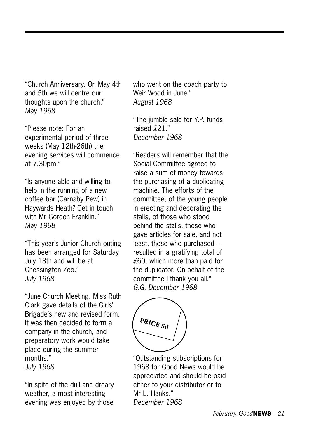"Church Anniversary. On May 4th and 5th we will centre our thoughts upon the church." *May 1968*

"Please note: For an experimental period of three weeks (May 12th-26th) the evening services will commence at 7.30pm."

"Is anyone able and willing to help in the running of a new coffee bar (Carnaby Pew) in Haywards Heath? Get in touch with Mr Gordon Franklin." *May 1968*

"This year's Junior Church outing has been arranged for Saturday July 13th and will be at Chessington Zoo." *July 1968*

"June Church Meeting. Miss Ruth Clark gave details of the Girls' Brigade's new and revised form. It was then decided to form a company in the church, and preparatory work would take place during the summer months." *July 1968*

"In spite of the dull and dreary weather, a most interesting evening was enjoyed by those who went on the coach party to Weir Wood in June." *August 1968*

"The jumble sale for Y.P. funds raised £21." *December 1968*

"Readers will remember that the Social Committee agreed to raise a sum of money towards the purchasing of a duplicating machine. The efforts of the committee, of the young people in erecting and decorating the stalls, of those who stood behind the stalls, those who gave articles for sale, and not least, those who purchased – resulted in a gratifying total of £60, which more than paid for the duplicator. On behalf of the committee I thank you all." *G.G. December 1968*

**PRICE 5d**

"Outstanding subscriptions for 1968 for Good News would be appreciated and should be paid either to your distributor or to Mr L. Hanks." *December 1968*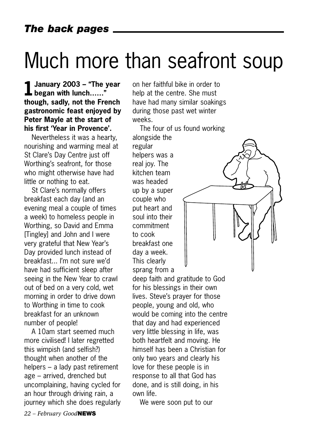## Much more than seafront soup

**1January 2003 – "The year began with lunch……" though, sadly, not the French gastronomic feast enjoyed by Peter Mayle at the start of his first 'Year in Provence'.** 

Nevertheless it was a hearty, nourishing and warming meal at St Clare's Day Centre just off Worthing's seafront, for those who might otherwise have had little or nothing to eat.

St Clare's normally offers breakfast each day (and an evening meal a couple of times a week) to homeless people in Worthing, so David and Emma [Tingley] and John and I were very grateful that New Year's Day provided lunch instead of breakfast... I'm not sure we'd have had sufficient sleep after seeing in the New Year to crawl out of bed on a very cold, wet morning in order to drive down to Worthing in time to cook breakfast for an unknown number of people!

A 10am start seemed much more civilised! I later regretted this wimpish (and selfish?) thought when another of the helpers – a lady past retirement age – arrived, drenched but uncomplaining, having cycled for an hour through driving rain, a journey which she does regularly on her faithful bike in order to help at the centre. She must have had many similar soakings during those past wet winter weeks.

The four of us found working alongside the regular helpers was a real joy. The kitchen team was headed up by a super couple who put heart and soul into their commitment to cook breakfast one day a week. This clearly sprang from a

deep faith and gratitude to God for his blessings in their own lives. Steve's prayer for those people, young and old, who would be coming into the centre that day and had experienced very little blessing in life, was both heartfelt and moving. He himself has been a Christian for only two years and clearly his love for these people is in response to all that God has done, and is still doing, in his own life.

We were soon put to our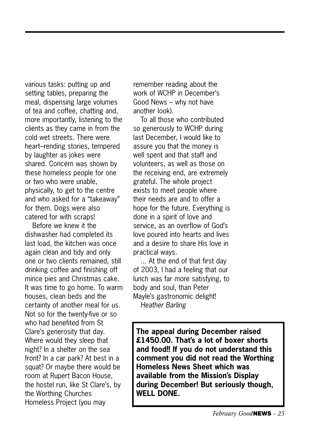various tasks: putting up and setting tables, preparing the meal, dispensing large volumes of tea and coffee, chatting and, more importantly, listening to the clients as they came in from the cold wet streets. There were heart–rending stories, tempered by laughter as jokes were shared. Concern was shown by these homeless people for one or two who were unable, physically, to get to the centre and who asked for a "takeaway" for them. Dogs were also catered for with scraps!

Before we knew it the dishwasher had completed its last load, the kitchen was once again clean and tidy and only one or two clients remained, still drinking coffee and finishing off mince pies and Christmas cake. It was time to go home. To warm houses, clean beds and the certainty of another meal for us. Not so for the twenty-five or so who had benefited from St Clare's generosity that day. Where would they sleep that night? In a shelter on the sea front? In a car park? At best in a squat? Or maybe there would be room at Rupert Bacon House, the hostel run, like St Clare's, by the Worthing Churches Homeless Project (you may

remember reading about the work of WCHP in December's Good News – why not have another look).

To all those who contributed so generously to WCHP during last December, I would like to assure you that the money is well spent and that staff and volunteers, as well as those on the receiving end, are extremely grateful. The whole project exists to meet people where their needs are and to offer a hope for the future. Everything is done in a spirit of love and service, as an overflow of God's love poured into hearts and lives and a desire to share His love in practical ways.

... At the end of that first day of 2003, I had a feeling that our lunch was far more satisfying, to body and soul, than Peter Mayle's gastronomic delight! *Heather Barling*

**The appeal during December raised £1450.00. That's a lot of boxer shorts and food!! If you do not understand this comment you did not read the Worthing Homeless News Sheet which was available from the Mission's Display during December! But seriously though, WELL DONE.**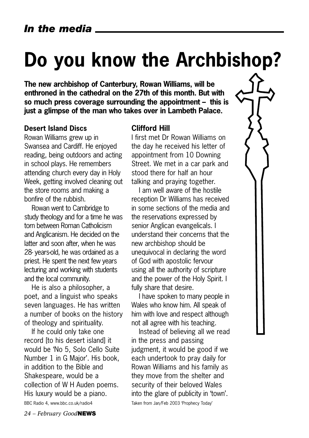## **Do you know the Archbishop?**

**The new archbishop of Canterbury, Rowan Williams, will be enthroned in the cathedral on the 27th of this month. But with so much press coverage surrounding the appointment – this is just a glimpse of the man who takes over in Lambeth Palace.** 

#### **Desert Island Discs**

Rowan Williams grew up in Swansea and Cardiff. He enjoyed reading, being outdoors and acting in school plays. He remembers attending church every day in Holy Week, getting involved cleaning out the store rooms and making a bonfire of the rubbish.

Rowan went to Cambridge to study theology and for a time he was torn between Roman Catholicism and Anglicanism. He decided on the latter and soon after, when he was 28- years-old, he was ordained as a priest. He spent the next few years lecturing and working with students and the local community.

He is also a philosopher, a poet, and a linguist who speaks seven languages. He has written a number of books on the history of theology and spirituality.

If he could only take one record [to his desert island] it would be 'No 5, Solo Cello Suite Number 1 in G Major'. His book, in addition to the Bible and Shakespeare, would be a collection of W H Auden poems. His luxury would be a piano.

BBC Radio 4, www.bbc.co.uk/radio4

*24 – February Good***NEWS**

#### **Clifford Hill**

I first met Dr Rowan Williams on the day he received his letter of appointment from 10 Downing Street. We met in a car park and stood there for half an hour talking and praying together.

I am well aware of the hostile reception Dr Williams has received in some sections of the media and the reservations expressed by senior Anglican evangelicals. I understand their concerns that the new archbishop should be unequivocal in declaring the word of God with apostolic fervour using all the authority of scripture and the power of the Holy Spirit. I fully share that desire.

I have spoken to many people in Wales who know him. All speak of him with love and respect although not all agree with his teaching.

Instead of believing all we read in the press and passing judgment, it would be good if we each undertook to pray daily for Rowan Williams and his family as they move from the shelter and security of their beloved Wales into the glare of publicity in 'town'.

Taken from Jan/Feb 2003 'Prophecy Today'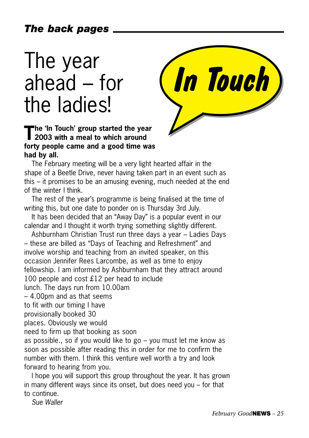## The year ahead – for the ladies!



### **The 'In Touch' group started the year 2003 with a meal to which around forty people came and a good time was had by all.**

The February meeting will be a very light hearted affair in the shape of a Beetle Drive, never having taken part in an event such as this – it promises to be an amusing evening, much needed at the end of the winter I think.

The rest of the year's programme is being finalised at the time of writing this, but one date to ponder on is Thursday 3rd July.

It has been decided that an "Away Day" is a popular event in our calendar and I thought it worth trying something slightly different.

Ashburnham Christian Trust run three days a year – Ladies Days – these are billed as "Days of Teaching and Refreshment" and involve worship and teaching from an invited speaker, on this occasion Jennifer Rees Larcombe, as well as time to enjoy fellowship. I am informed by Ashburnham that they attract around 100 people and cost £12 per head to include lunch. The days run from 10.00am – 4.00pm and as that seems to fit with our timing I have provisionally booked 30 places. Obviously we would need to firm up that booking as soon as possible., so if you would like to go – you must let me know as soon as possible after reading this in order for me to confirm the number with them. I think this venture well worth a try and look forward to hearing from you. I hope you will support this group throughout the year. It has grown

in many different ways since its onset, but does need you – for that to continue.

*Sue Waller*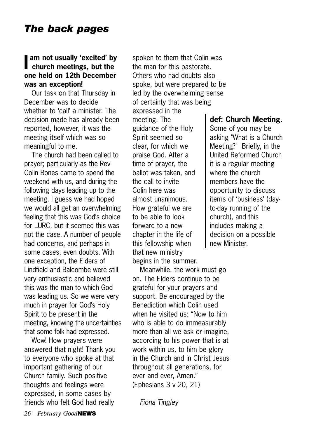### **In am not usually 'excited' by church meetings, but the am not usually 'excited' by one held on 12th December was an exception!**

Our task on that Thursday in December was to decide whether to 'call' a minister. The decision made has already been reported, however, it was the meeting itself which was so meaningful to me.

The church had been called to prayer; particularly as the Rev Colin Bones came to spend the weekend with us, and during the following days leading up to the meeting. I guess we had hoped we would all get an overwhelming feeling that this was God's choice for LURC, but it seemed this was not the case. A number of people had concerns, and perhaps in some cases, even doubts. With one exception, the Elders of Lindfield and Balcombe were still very enthusiastic and believed this was the man to which God was leading us. So we were very much in prayer for God's Holy Spirit to be present in the meeting, knowing the uncertainties that some folk had expressed.

Wow! How prayers were answered that night! Thank you to everyone who spoke at that important gathering of our Church family. Such positive thoughts and feelings were expressed, in some cases by friends who felt God had really

spoken to them that Colin was the man for this pastorate. Others who had doubts also spoke, but were prepared to be led by the overwhelming sense of certainty that was being expressed in the meeting. The guidance of the Holy Spirit seemed so clear, for which we praise God. After a time of prayer, the ballot was taken, and the call to invite Colin here was almost unanimous. How grateful we are to be able to look forward to a new chapter in the life of this fellowship when that new ministry begins in the summer.

Meanwhile, the work must go on. The Elders continue to be grateful for your prayers and support. Be encouraged by the Benediction which Colin used when he visited us: "Now to him who is able to do immeasurably more than all we ask or imagine, according to his power that is at work within us, to him be glory in the Church and in Christ Jesus throughout all generations, for ever and ever, Amen." (Ephesians 3 v 20, 21)

*Fiona Tingley*

#### **def: Church Meeting.**

Some of you may be asking "What is a Church Meeting?" Briefly, in the United Reformed Church it is a regular meeting where the church members have the opportunity to discuss items of 'business' (dayto-day running of the church), and this includes making a decision on a possible new Minister.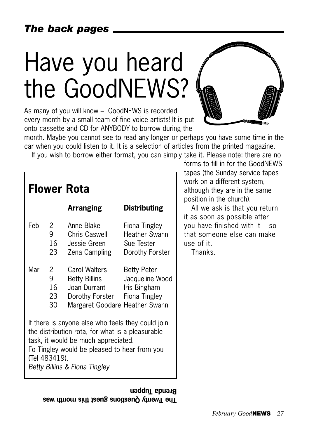### *The back pages*

# Have you heard the GoodNEWS?

As many of you will know – GoodNEWS is recorded every month by a small team of fine voice artists! It is put onto cassette and CD for ANYBODY to borrow during the



month. Maybe you cannot see to read any longer or perhaps you have some time in the car when you could listen to it. It is a selection of articles from the printed magazine.

If you wish to borrow either format, you can simply take it. Please note: there are no

| <b>Flower Rota</b> |                                                                       |                                                                                                                                                                                                                               |                                                                                                          |  |  |  |
|--------------------|-----------------------------------------------------------------------|-------------------------------------------------------------------------------------------------------------------------------------------------------------------------------------------------------------------------------|----------------------------------------------------------------------------------------------------------|--|--|--|
|                    |                                                                       | <b>Arranging</b>                                                                                                                                                                                                              | <b>Distributing</b>                                                                                      |  |  |  |
| Feb<br>Mar         | $\mathbf{2}$<br>9<br>16<br>23<br>$\mathbf{2}^{\mathsf{-}}$<br>9<br>16 | Anne Blake<br>Chris Caswell<br>Jessie Green<br>Zena Campling<br>Carol Walters<br>Betty Billins<br>Joan Durrant lris Bingham                                                                                                   | Fiona Tingley<br>Heather Swann<br>Sue Tester<br>Dorothy Forster<br><b>Betty Peter</b><br>Jacqueline Wood |  |  |  |
|                    | 23<br>30                                                              | Dorothy Forster Fiona Tingley<br>Margaret Goodare Heather Swann                                                                                                                                                               |                                                                                                          |  |  |  |
|                    | (Tel 483419).                                                         | If there is anyone else who feels they could join<br>the distribution rota, for what is a pleasurable<br>task, it would be much appreciated.<br>Fo Tingley would be pleased to hear from you<br>Betty Billins & Fiona Tingley |                                                                                                          |  |  |  |

**The Twenty Questions Snest this month was Rrenda Iuppen**  forms to fill in for the GoodNEWS apes (the Sunday service tapes work on a different system, Ithough they are in the same position in the church).

All we ask is that you return as soon as possible after ou have finished with it  $-$  so hat someone else can make se of it.

Thanks.